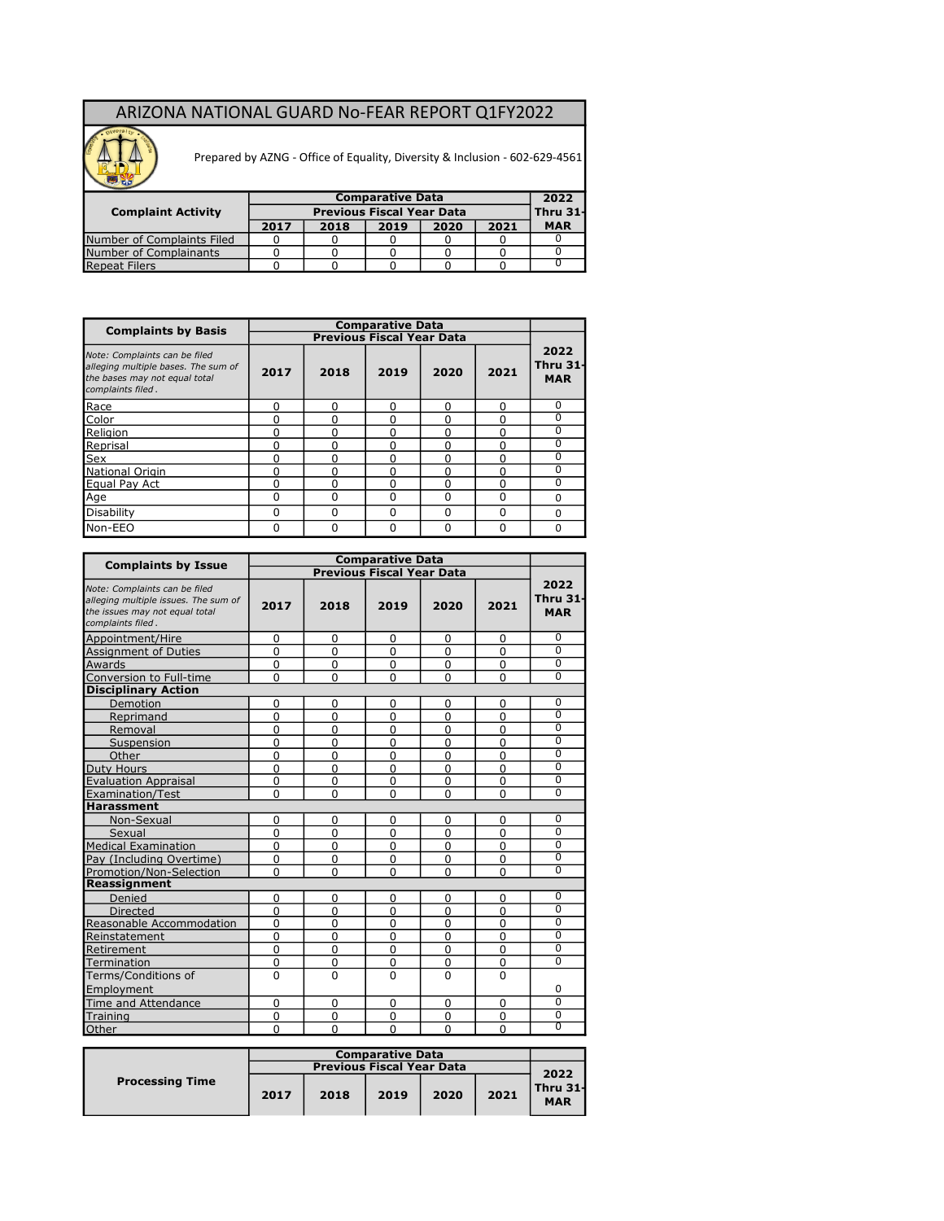## ARIZONA NATIONAL GUARD No-FEAR REPORT Q1FY2022



Prepared by AZNG - Office of Equality, Diversity & Inclusion - 602-629-4561

| <b>Complaint Activity</b>  |      |      | 2022<br>Thru 31- |      |      |            |
|----------------------------|------|------|------------------|------|------|------------|
|                            | 2017 | 2018 | 2019             | 2020 | 2021 | <b>MAR</b> |
| Number of Complaints Filed |      |      |                  |      |      |            |
| Number of Complainants     |      |      |                  |      |      |            |
| <b>Repeat Filers</b>       |      |      |                  |      |      |            |

| <b>Complaints by Basis</b>                                                                                                 |          |      | <b>Comparative Data</b>          |              |          |                                       |
|----------------------------------------------------------------------------------------------------------------------------|----------|------|----------------------------------|--------------|----------|---------------------------------------|
|                                                                                                                            |          |      | <b>Previous Fiscal Year Data</b> |              |          |                                       |
| Note: Complaints can be filed<br>alleging multiple bases. The sum of<br>the bases may not equal total<br>complaints filed. | 2017     | 2018 | 2019                             | 2020         | 2021     | 2022<br><b>Thru 31-</b><br><b>MAR</b> |
| Race                                                                                                                       | 0        | n    | $\Omega$                         | U            | O        | $\Omega$                              |
| Color                                                                                                                      | 0        |      | $\Omega$                         | 0            | 0        | $\Omega$                              |
| Religion                                                                                                                   | 0        |      | 0                                | 0            | 0        | $\Omega$                              |
| Reprisal                                                                                                                   | 0        |      | O                                | 0            | 0        | $\Omega$                              |
| Sex                                                                                                                        | 0        |      | <sup>0</sup>                     | 0            | 0        | $\Omega$                              |
| National Origin                                                                                                            | 0        |      | $\Omega$                         | U            | ŋ        | $\Omega$                              |
| Equal Pay Act                                                                                                              | $\Omega$ |      | U                                | U            | O        | $\Omega$                              |
| Age                                                                                                                        | 0        |      | $\Omega$                         | $\Omega$     | 0        | $\Omega$                              |
| Disability                                                                                                                 | $\Omega$ | ŋ    | $\Omega$                         | <sup>0</sup> | $\Omega$ | $\Omega$                              |
| Non-EEO                                                                                                                    | 0        |      | $\Omega$                         | 0            | 0        | $\Omega$                              |

|                                                                                                                              |             |                | <b>Comparative Data</b>          |                |                |                                |
|------------------------------------------------------------------------------------------------------------------------------|-------------|----------------|----------------------------------|----------------|----------------|--------------------------------|
| <b>Complaints by Issue</b>                                                                                                   |             |                | <b>Previous Fiscal Year Data</b> |                |                |                                |
| Note: Complaints can be filed<br>alleging multiple issues. The sum of<br>the issues may not equal total<br>complaints filed. | 2017        | 2018           | 2019                             | 2020           | 2021           | 2022<br>Thru 31-<br><b>MAR</b> |
| Appointment/Hire                                                                                                             | $\Omega$    | $\Omega$       | $\Omega$                         | 0              | 0              | 0                              |
| <b>Assignment of Duties</b>                                                                                                  | $\Omega$    | 0              | $\Omega$                         | 0              | 0              | $\overline{0}$                 |
| Awards                                                                                                                       | $\Omega$    | 0              | $\mathbf 0$                      | $\mathbf 0$    | 0              | $\overline{0}$                 |
| Conversion to Full-time                                                                                                      | $\Omega$    | 0              | $\mathbf 0$                      | $\mathbf 0$    | 0              | $\overline{0}$                 |
| <b>Disciplinary Action</b>                                                                                                   |             |                |                                  |                |                |                                |
| Demotion                                                                                                                     | 0           | 0              | 0                                | 0              | 0              | 0                              |
| Reprimand                                                                                                                    | $\mathbf 0$ | 0              | 0                                | 0              | 0              | $\overline{0}$                 |
| Removal                                                                                                                      | $\Omega$    | 0              | $\Omega$                         | $\overline{0}$ | 0              | $\overline{0}$                 |
| Suspension                                                                                                                   | $\Omega$    | 0              | $\overline{0}$                   | $\overline{0}$ | 0              | $\Omega$                       |
| Other                                                                                                                        | $\Omega$    | $\Omega$       | $\overline{0}$                   | $\mathbf 0$    | 0              | 0                              |
|                                                                                                                              | $\Omega$    | $\Omega$       | $\Omega$                         | $\Omega$       | $\Omega$       | $\overline{0}$                 |
| <b>Evaluation Appraisal</b>                                                                                                  | $\Omega$    | 0              | $\overline{0}$                   | $\overline{0}$ | 0              | $\overline{0}$                 |
| <b>Duty Hours<br/>Evaluation Apprais</b><br>Examination/Test                                                                 | $\Omega$    | $\overline{0}$ | $\Omega$                         | $\overline{0}$ | $\overline{0}$ | $\overline{0}$                 |
| Harassment                                                                                                                   |             |                |                                  |                |                |                                |
| Non-Sexual                                                                                                                   | $\Omega$    | 0              | 0                                | 0              | 0              | $\overline{0}$                 |
| Sexual                                                                                                                       | $\Omega$    | $\Omega$       | $\mathbf 0$                      | $\mathbf 0$    | $\mathbf 0$    | $\overline{0}$                 |
| Medical Examination                                                                                                          | $\Omega$    | $\Omega$       | $\mathbf 0$                      | $\mathbf 0$    | $\mathbf 0$    | $\overline{0}$                 |
| Pay (Including Overtime)                                                                                                     | $\Omega$    | 0              | $\mathbf 0$                      | $\mathbf 0$    | 0              | $\overline{0}$                 |
| Promotion/Non-Selection                                                                                                      | $\Omega$    | $\Omega$       | $\mathbf 0$                      | $\mathbf 0$    | 0              | $\overline{0}$                 |
| Reassignment                                                                                                                 |             |                |                                  |                |                |                                |
| Denied                                                                                                                       | 0           | 0              | 0                                | 0              | 0              | 0                              |
| <b>Directed</b>                                                                                                              | 0           | 0              | $\mathbf 0$                      | 0              | 0              | $\overline{0}$                 |
| Reasonable Accommodation                                                                                                     | $\Omega$    | 0              | 0                                | 0              | 0              | $\overline{0}$                 |
| Reinstatement                                                                                                                | $\Omega$    | 0              | 0                                | 0              | 0              | $\overline{0}$                 |
| Retirement                                                                                                                   | $\Omega$    | 0              | $\Omega$                         | 0              | 0              | $\overline{0}$                 |
| Termination                                                                                                                  | $\mathbf 0$ | $\Omega$       | 0                                | 0              | 0              | $\overline{0}$                 |
| Terms/Conditions of                                                                                                          | $\Omega$    | $\Omega$       | 0                                | $\Omega$       | 0              |                                |
| Employment                                                                                                                   |             |                |                                  |                |                | 0                              |
| Time and Attendance                                                                                                          | 0           | 0              | 0                                | 0              | 0              | $\overline{0}$                 |
| Training                                                                                                                     | $\Omega$    | 0              | 0                                | 0              | 0              | $\overline{0}$                 |
| Other                                                                                                                        | $\Omega$    | $\Omega$       | $\Omega$                         | $\Omega$       | 0              | $\overline{0}$                 |

|                        |      | <b>Comparative Data</b> |      |      |      |                        |  |  |  |  |
|------------------------|------|-------------------------|------|------|------|------------------------|--|--|--|--|
|                        |      |                         | 2022 |      |      |                        |  |  |  |  |
| <b>Processing Time</b> | 2017 | 2018                    | 2019 | 2020 | 2021 | Thru 31-<br><b>MAR</b> |  |  |  |  |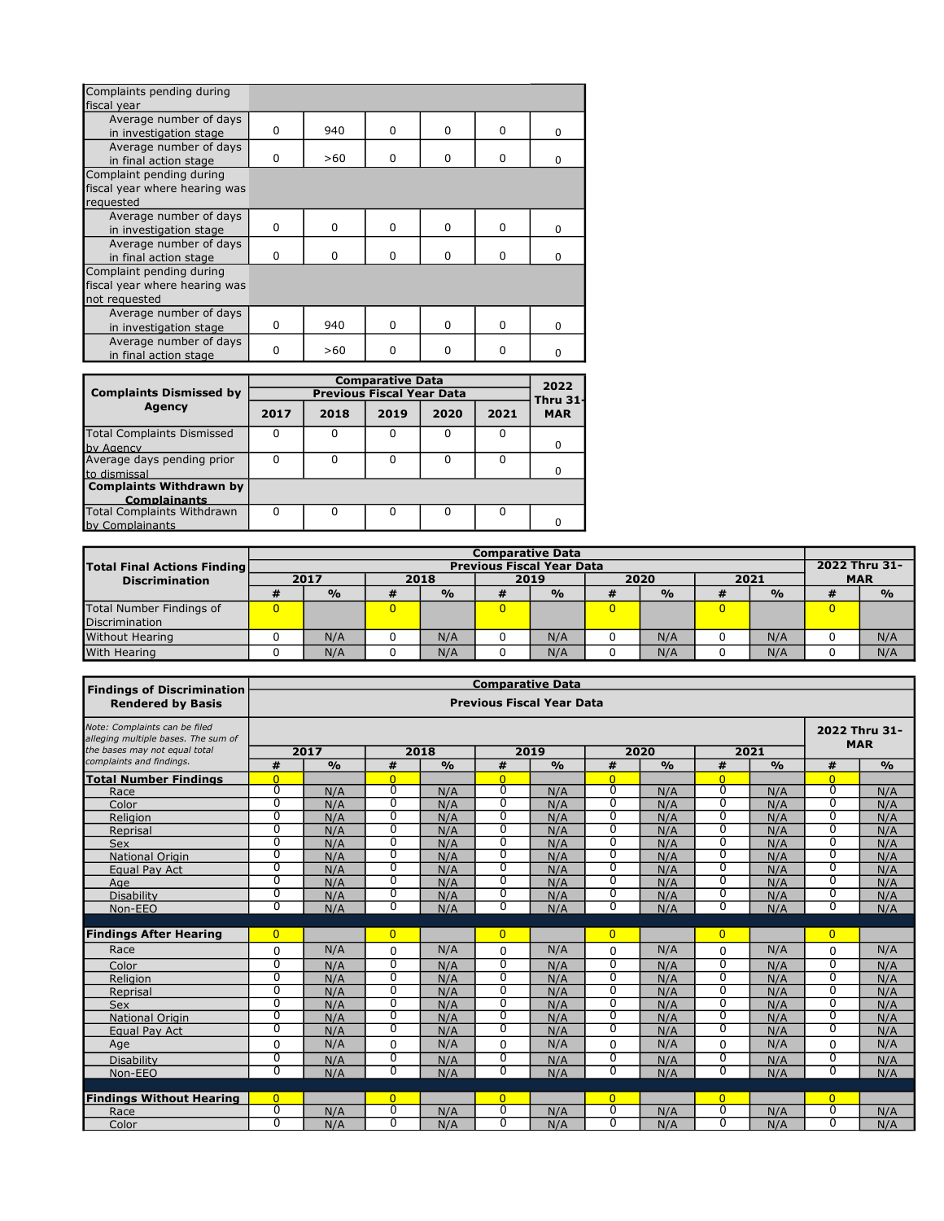| Complaints pending during     |          |              |          |          |          |          |
|-------------------------------|----------|--------------|----------|----------|----------|----------|
| fiscal year                   |          |              |          |          |          |          |
| Average number of days        |          |              |          |          |          |          |
| in investigation stage        | $\Omega$ | 940          | $\Omega$ | 0        | $\Omega$ | $\Omega$ |
| Average number of days        |          |              |          |          |          |          |
| in final action stage         | $\Omega$ | >60          | $\Omega$ | $\Omega$ | $\Omega$ | n        |
| Complaint pending during      |          |              |          |          |          |          |
| fiscal year where hearing was |          |              |          |          |          |          |
| requested                     |          |              |          |          |          |          |
| Average number of days        |          |              |          |          |          |          |
| in investigation stage        | $\Omega$ | <sup>0</sup> | $\Omega$ | $\Omega$ | $\Omega$ | $\Omega$ |
| Average number of days        |          |              |          |          |          |          |
| in final action stage         | $\Omega$ | $\Omega$     | $\Omega$ | $\Omega$ | 0        | $\Omega$ |
| Complaint pending during      |          |              |          |          |          |          |
| fiscal year where hearing was |          |              |          |          |          |          |
| not requested                 |          |              |          |          |          |          |
| Average number of days        |          |              |          |          |          |          |
| in investigation stage        | $\Omega$ | 940          | $\Omega$ | $\Omega$ | $\Omega$ | $\Omega$ |
| Average number of days        |          |              |          |          |          |          |
| in final action stage         | ŋ        | >60          | 0        | $\Omega$ | $\Omega$ | n        |

|                                                       |      |                                  | <b>Comparative Data</b> |      |      | 2022                          |  |  |  |  |  |
|-------------------------------------------------------|------|----------------------------------|-------------------------|------|------|-------------------------------|--|--|--|--|--|
| <b>Complaints Dismissed by</b>                        |      | <b>Previous Fiscal Year Data</b> |                         |      |      |                               |  |  |  |  |  |
| <b>Agency</b>                                         | 2017 | 2018                             | 2019                    | 2020 | 2021 | <b>Thru 31-</b><br><b>MAR</b> |  |  |  |  |  |
| <b>Total Complaints Dismissed</b><br>by Agency        |      |                                  |                         | O    |      | 0                             |  |  |  |  |  |
| Average days pending prior<br>to dismissal            |      |                                  | n                       | n    |      | <sup>0</sup>                  |  |  |  |  |  |
| <b>Complaints Withdrawn by</b><br><b>Complainants</b> |      |                                  |                         |      |      |                               |  |  |  |  |  |
| <b>Total Complaints Withdrawn</b><br>by Complainants  | ŋ    |                                  |                         |      |      |                               |  |  |  |  |  |

|                                    | <b>Comparative Data</b> |                                  |   |               |      |               |                |               |   |               |  |               |  |  |  |  |  |               |
|------------------------------------|-------------------------|----------------------------------|---|---------------|------|---------------|----------------|---------------|---|---------------|--|---------------|--|--|--|--|--|---------------|
| <b>Total Final Actions Finding</b> |                         | <b>Previous Fiscal Year Data</b> |   |               |      |               |                |               |   |               |  |               |  |  |  |  |  | 2022 Thru 31- |
| <b>Discrimination</b>              |                         | 2017<br>2018                     |   |               | 2019 |               | 2020           |               |   | 2021          |  | <b>MAR</b>    |  |  |  |  |  |               |
|                                    |                         | $\frac{0}{0}$                    | # | $\frac{0}{0}$ | #    | $\frac{0}{0}$ | ₩              | $\frac{O}{O}$ | # | $\frac{O}{O}$ |  | $\frac{6}{9}$ |  |  |  |  |  |               |
| Total Number Findings of           | 0                       |                                  |   |               | 0    |               | $\overline{0}$ |               | 0 |               |  |               |  |  |  |  |  |               |
| Discrimination                     |                         |                                  |   |               |      |               |                |               |   |               |  |               |  |  |  |  |  |               |
| <b>Without Hearing</b>             |                         | N/A                              |   | N/A           |      | N/A           |                | N/A           |   | N/A           |  | N/A           |  |  |  |  |  |               |
| With Hearing                       |                         | N/A                              |   | N/A           |      | N/A           |                | N/A           |   | N/A           |  | N/A           |  |  |  |  |  |               |

| <b>Findings of Discrimination</b>                                                                     | <b>Comparative Data</b>      |               |                     |               |                            |                                  |                            |               |                            |               |                |                             |
|-------------------------------------------------------------------------------------------------------|------------------------------|---------------|---------------------|---------------|----------------------------|----------------------------------|----------------------------|---------------|----------------------------|---------------|----------------|-----------------------------|
| <b>Rendered by Basis</b>                                                                              |                              |               |                     |               |                            | <b>Previous Fiscal Year Data</b> |                            |               |                            |               |                |                             |
| Note: Complaints can be filed<br>alleging multiple bases. The sum of<br>the bases may not equal total | 2018<br>2019<br>2020<br>2021 |               |                     |               |                            |                                  |                            |               |                            |               |                | 2022 Thru 31-<br><b>MAR</b> |
| complaints and findings.                                                                              |                              | 2017          |                     |               |                            |                                  |                            |               |                            |               |                |                             |
|                                                                                                       | #<br>$\Omega$                | $\frac{0}{0}$ | #<br>$\overline{0}$ | $\frac{0}{0}$ | #                          | $\frac{0}{0}$                    | #                          | $\frac{0}{0}$ | #                          | $\frac{0}{0}$ | #<br>$\Omega$  | $\frac{0}{0}$               |
| <b>Total Number Findings</b>                                                                          | $\overline{0}$               |               | 0                   |               | $\Omega$<br>$\overline{0}$ |                                  | $\Omega$<br>$\overline{0}$ |               | $\Omega$<br>$\overline{0}$ |               | $\overline{0}$ |                             |
| Race<br>Color                                                                                         | $\overline{0}$               | N/A           | $\overline{0}$      | N/A           | $\overline{0}$             | N/A<br>N/A                       | $\overline{0}$             | N/A           | $\overline{0}$             | N/A           | $\overline{0}$ | N/A                         |
|                                                                                                       | $\overline{0}$               | N/A           | $\overline{0}$      | N/A           | $\overline{0}$             |                                  | $\overline{0}$             | N/A           | $\overline{0}$             | N/A           | $\overline{0}$ | N/A                         |
| Religion<br>Reprisal                                                                                  | $\overline{0}$               | N/A<br>N/A    | $\overline{0}$      | N/A<br>N/A    | $\overline{0}$             | N/A<br>N/A                       | $\overline{0}$             | N/A<br>N/A    | $\Omega$                   | N/A<br>N/A    | $\Omega$       | N/A<br>N/A                  |
| <b>Sex</b>                                                                                            | $\overline{0}$               | N/A           | $\overline{0}$      | N/A           | $\overline{0}$             | N/A                              | $\overline{0}$             | N/A           | $\overline{0}$             | N/A           | $\overline{0}$ | N/A                         |
| <b>National Origin</b>                                                                                | $\overline{0}$               | N/A           | 0                   | N/A           | $\overline{0}$             | N/A                              | $\overline{0}$             | N/A           | $\overline{0}$             | N/A           | $\overline{0}$ | N/A                         |
| Equal Pay Act                                                                                         | $\overline{0}$               | N/A           | $\overline{0}$      | N/A           | $\overline{0}$             | N/A                              | $\overline{0}$             | N/A           | $\overline{0}$             | N/A           | $\overline{0}$ | N/A                         |
| Age                                                                                                   | $\overline{0}$               | N/A           | $\overline{0}$      | N/A           | $\overline{0}$             | N/A                              | $\overline{0}$             | N/A           | $\overline{0}$             | N/A           | $\overline{0}$ | N/A                         |
| Disability                                                                                            | $\overline{0}$               | N/A           | $\overline{0}$      | N/A           | $\overline{0}$             | N/A                              | $\overline{0}$             | N/A           | $\overline{0}$             | N/A           | $\overline{0}$ | N/A                         |
| Non-EEO                                                                                               | $\overline{0}$               | N/A           | $\overline{0}$      | N/A           | $\overline{0}$             | N/A                              | $\overline{0}$             | N/A           | $\overline{0}$             | N/A           | $\overline{0}$ | N/A                         |
|                                                                                                       |                              |               |                     |               |                            |                                  |                            |               |                            |               |                |                             |
| <b>Findings After Hearing</b>                                                                         | $\overline{0}$               |               | $\overline{0}$      |               | $\overline{0}$             |                                  | $\overline{0}$             |               | $\overline{0}$             |               | $\overline{0}$ |                             |
| Race                                                                                                  | $\Omega$                     | N/A           | 0                   | N/A           | $\Omega$                   | N/A                              | 0                          | N/A           | $\Omega$                   | N/A           | $\Omega$       | N/A                         |
| Color                                                                                                 | $\overline{0}$               | N/A           | $\overline{0}$      | N/A           | $\overline{0}$             | N/A                              | $\overline{0}$             | N/A           | $\overline{0}$             | N/A           | $\overline{0}$ | N/A                         |
| Religion                                                                                              | $\overline{0}$               | N/A           | $\overline{0}$      | N/A           | $\overline{0}$             | N/A                              | $\overline{0}$             | N/A           | $\overline{0}$             | N/A           | $\overline{0}$ | N/A                         |
| Reprisal                                                                                              | $\overline{0}$               | N/A           | $\overline{0}$      | N/A           | $\overline{0}$             | N/A                              | $\overline{0}$             | N/A           | $\overline{0}$             | N/A           | $\overline{0}$ | N/A                         |
| <b>Sex</b>                                                                                            | $\overline{0}$               | N/A           | $\overline{0}$      | N/A           | $\overline{0}$             | N/A                              | $\overline{0}$             | N/A           | $\overline{0}$             | N/A           | $\overline{0}$ | N/A                         |
| <b>National Origin</b>                                                                                | $\overline{0}$               | N/A           | $\overline{0}$      | N/A           | $\overline{0}$             | N/A                              | $\overline{0}$             | N/A           | $\overline{0}$             | N/A           | $\overline{0}$ | N/A                         |
| Equal Pay Act                                                                                         | $\overline{0}$               | N/A           | $\overline{0}$      | N/A           | $\overline{0}$             | N/A                              | $\overline{0}$             | N/A           | $\Omega$                   | N/A           | $\overline{0}$ | N/A                         |
| Age                                                                                                   | 0                            | N/A           | 0                   | N/A           | 0                          | N/A                              | 0                          | N/A           | $\Omega$                   | N/A           | $\Omega$       | N/A                         |
| <b>Disability</b>                                                                                     | $\overline{0}$               | N/A           | $\overline{0}$      | N/A           | $\overline{0}$             | N/A                              | $\overline{0}$             | N/A           | $\overline{0}$             | N/A           | $\overline{0}$ | N/A                         |
| Non-EEO                                                                                               | $\overline{0}$               | N/A           | $\overline{0}$      | N/A           | $\overline{0}$             | N/A                              | $\Omega$                   | N/A           | $\overline{0}$             | N/A           | $\overline{0}$ | N/A                         |
|                                                                                                       |                              |               |                     |               |                            |                                  |                            |               |                            |               |                |                             |
| <b>Findings Without Hearing</b>                                                                       | $\Omega$                     |               | $\Omega$            |               | $\overline{0}$             |                                  | $\overline{0}$             |               | $\overline{0}$             |               | $\overline{0}$ |                             |
| Race                                                                                                  | $\overline{0}$               | N/A           | $\overline{0}$      | N/A           | $\overline{0}$             | N/A                              | $\overline{0}$             | N/A           | $\overline{0}$             | N/A           | $\overline{0}$ | N/A                         |
| Color                                                                                                 | $\overline{0}$               | N/A           | $\overline{0}$      | N/A           | $\overline{0}$             | N/A                              | $\overline{0}$             | N/A           | $\overline{0}$             | N/A           | $\overline{0}$ | N/A                         |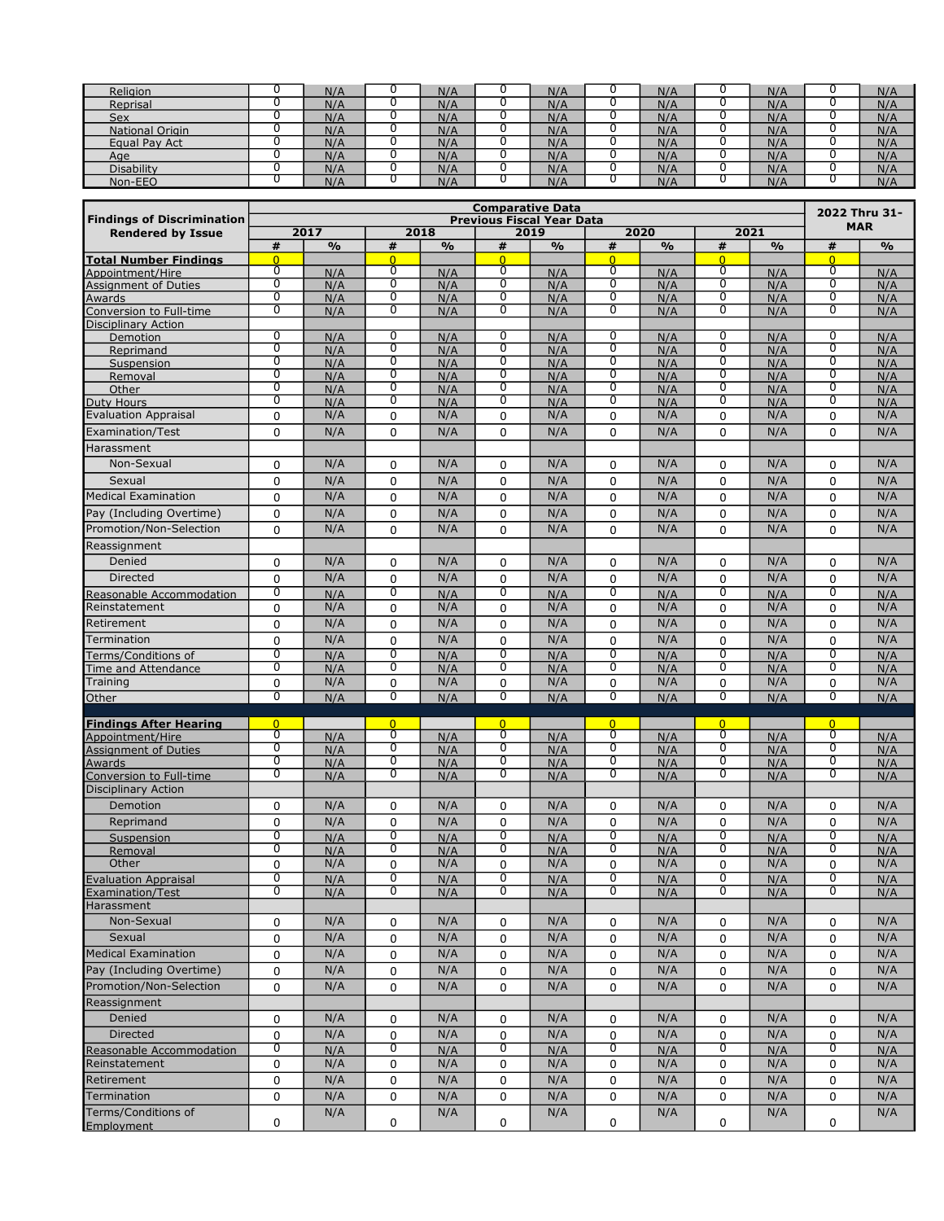| Religion               | N/A | N/A | N/A | N/A | N/A | N/A |
|------------------------|-----|-----|-----|-----|-----|-----|
| Reprisal               | N/A | N/A | N/A | N/A | N/A | N/A |
| Sex                    | N/A | N/A | N/A | N/A | N/A | N/A |
| <b>National Origin</b> | N/A | N/A | N/A | N/A | N/A | N/A |
| Equal Pay Act          | N/A | N/A | N/A | N/A | N/A | N/A |
| Age                    | N/A | N/A | N/A | N/A | N/A | N/A |
| <b>Disability</b>      | N/A | N/A | N/A | N/A | N/A | N/A |
| Non-EEO                | N/A | N/A | N/A | N/f | N/A | N/A |

|                                                                          | <b>Comparative Data</b> |               |                     |               |                                  |               |                     |               |                     |               | 2022 Thru 31-       |               |  |
|--------------------------------------------------------------------------|-------------------------|---------------|---------------------|---------------|----------------------------------|---------------|---------------------|---------------|---------------------|---------------|---------------------|---------------|--|
| <b>Findings of Discrimination</b>                                        |                         |               |                     |               | <b>Previous Fiscal Year Data</b> |               |                     |               |                     |               |                     | <b>MAR</b>    |  |
| <b>Rendered by Issue</b>                                                 |                         | 2017          |                     | 2018          |                                  | 2019          |                     | 2020          |                     | 2021          |                     |               |  |
| <b>Total Number Findings</b>                                             | #<br>$\overline{0}$     | $\frac{9}{6}$ | #<br>$\overline{0}$ | $\frac{9}{6}$ | #<br>$\overline{0}$              | $\frac{9}{6}$ | #<br>$\overline{0}$ | $\frac{0}{0}$ | #<br>$\overline{0}$ | $\frac{9}{6}$ | #<br>$\overline{0}$ | $\frac{9}{6}$ |  |
| Appointment/Hire                                                         | 0                       | N/A           | 0                   | N/A           | 0                                | N/A           | 0                   | N/A           | 0                   | N/A           | 0                   | N/A           |  |
| Assignment of Duties                                                     | $\overline{0}$          | N/A           | $\overline{0}$      | N/A           | 0                                | N/A           | $\overline{0}$      | N/A           | $\overline{0}$      | N/A           | $\overline{0}$      | N/A           |  |
| Awards<br>Conversion to Full-time                                        | $\overline{0}$          | N/A           | $\overline{0}$      | N/A           | 0                                | N/A           | $\overline{0}$      | N/A           | ō                   | N/A           | $\overline{0}$      | N/A           |  |
|                                                                          | $\overline{0}$          | N/A           | $\overline{0}$      | N/A           | $\overline{0}$                   | N/A           | $\overline{0}$      | N/A           | $\overline{0}$      | N/A           | $\overline{0}$      | N/A           |  |
| <b>Disciplinary Action</b>                                               |                         |               | $\overline{0}$      |               | $\overline{0}$                   |               | 0                   |               | $\overline{0}$      |               |                     |               |  |
| Demotion<br>Reprimand                                                    | 0<br>$\overline{0}$     | N/A<br>N/A    | $\overline{0}$      | N/A<br>N/A    | $\overline{0}$                   | N/A<br>N/A    | $\overline{0}$      | N/A<br>N/A    | $\overline{0}$      | N/A<br>N/A    | 0<br>$\overline{0}$ | N/A<br>N/A    |  |
| Suspension                                                               | $\overline{0}$          | N/A           | $\overline{0}$      | N/A           | 0                                | N/A           | $\overline{0}$      | N/A           | ō                   | N/A           | $\overline{0}$      | N/A           |  |
| Removal                                                                  | $\overline{0}$          | N/A           | $\overline{0}$      | N/A           | $\overline{0}$                   | N/A           | $\overline{0}$      | N/A           | $\overline{0}$      | N/A           | $\overline{0}$      | N/A           |  |
| Other                                                                    | $\overline{0}$          | N/A           | $\overline{0}$      | N/A           | $\overline{0}$                   | N/A           | $\overline{0}$      | N/A           | $\overline{0}$      | N/A           | $\overline{0}$      | N/A           |  |
| Duty Hours                                                               | 0                       | N/A           | 0                   | N/A           | 0                                | N/A           | 0                   | N/A           | 0                   | N/A           | 0                   | N/A           |  |
| <b>Evaluation Appraisal</b>                                              | 0                       | N/A           | 0                   | N/A           | 0                                | N/A           | 0                   | N/A           | $\mathbf 0$         | N/A           | 0                   | N/A           |  |
| Examination/Test                                                         | 0                       | N/A           | 0                   | N/A           | 0                                | N/A           | 0                   | N/A           | 0                   | N/A           | $\Omega$            | N/A           |  |
| Harassment                                                               |                         |               |                     |               |                                  |               |                     |               |                     |               |                     |               |  |
| Non-Sexual                                                               | 0                       | N/A           | 0                   | N/A           | 0                                | N/A           | 0                   | N/A           | $\mathbf 0$         | N/A           | 0                   | N/A           |  |
| Sexual                                                                   | 0                       | N/A           | 0                   | N/A           | 0                                | N/A           | 0                   | N/A           | $\mathbf 0$         | N/A           | 0                   | N/A           |  |
| Medical Examination                                                      | 0                       | N/A           | 0                   | N/A           | 0                                | N/A           | 0                   | N/A           | 0                   | N/A           | 0                   | N/A           |  |
| Pay (Including Overtime)                                                 | 0                       | N/A           | 0                   | N/A           | 0                                | N/A           | 0                   | N/A           | 0                   | N/A           | 0                   | N/A           |  |
| Promotion/Non-Selection                                                  | 0                       | N/A           | 0                   | N/A           | $\Omega$                         | N/A           | 0                   | N/A           | $\Omega$            | N/A           | $\Omega$            | N/A           |  |
| Reassignment                                                             |                         |               |                     |               |                                  |               |                     |               |                     |               |                     |               |  |
|                                                                          |                         |               |                     |               |                                  |               |                     |               |                     |               |                     |               |  |
| Denied                                                                   | 0                       | N/A           | 0                   | N/A           | 0                                | N/A           | 0                   | N/A           | 0                   | N/A           | 0                   | N/A           |  |
| <b>Directed</b>                                                          | 0                       | N/A           | 0                   | N/A           | 0                                | N/A           | 0                   | N/A           | 0                   | N/A           | 0                   | N/A           |  |
| Reasonable Accommodation                                                 | $\overline{0}$          | N/A           | $\overline{0}$      | N/A           | $\overline{0}$                   | N/A           | $\overline{0}$      | N/A           | 0                   | N/A           | $\overline{0}$      | N/A           |  |
| Reinstatement                                                            | 0                       | N/A           | 0                   | N/A           | 0                                | N/A           | 0                   | N/A           | 0                   | N/A           | 0                   | N/A           |  |
| Retirement                                                               | 0                       | N/A           | 0                   | N/A           | 0                                | N/A           | 0                   | N/A           | 0                   | N/A           | 0                   | N/A           |  |
| Termination                                                              | 0                       | N/A           | 0                   | N/A           | $\mathbf 0$                      | N/A           | 0                   | N/A           | $\mathbf 0$         | N/A           | 0                   | N/A           |  |
| Terms/Conditions of                                                      | $\overline{0}$          | N/A           | $\overline{0}$      | N/A           | $\overline{0}$                   | N/A           | $\overline{0}$      | N/A           | $\overline{0}$      | N/A           | $\overline{0}$      | N/A           |  |
| Time and Attendance                                                      | $\overline{0}$          | N/A           | 0                   | N/A           | 0                                | N/A           | 0                   | N/A           | $\overline{0}$      | N/A           | $\overline{0}$      | N/A           |  |
| Training                                                                 | 0<br>$\overline{0}$     | N/A           | 0<br>$\overline{0}$ | N/A           | 0<br>$\overline{0}$              | N/A           | 0<br>$\overline{0}$ | N/A           | $\mathbf 0$<br>0    | N/A           | 0<br>$\overline{0}$ | N/A           |  |
| Other                                                                    |                         | N/A           |                     | N/A           |                                  | N/A           |                     | N/A           |                     | N/A           |                     | N/A           |  |
| <b>Findings After Hearing</b>                                            | $\overline{0}$          |               | $\Omega$            |               | $\overline{0}$                   |               | $\overline{0}$      |               | $\overline{0}$      |               | $\overline{0}$      |               |  |
| Appointment/Hire                                                         | $\overline{0}$          | N/A           | 0                   | N/A           | $\overline{0}$                   | N/A           | $\overline{0}$      | N/A           | $\overline{0}$      | N/A           | $\overline{0}$      | N/A           |  |
|                                                                          | $\overline{0}$          | N/A           | $\overline{0}$      | N/A           | $\overline{0}$                   | N/A           | $\overline{0}$      | N/A           | $\overline{0}$      | N/A           | $\overline{0}$      | N/A           |  |
| Appointment of Duties<br>Assignment of Duties<br>Conversion to Full-time | 0                       | N/A           | 0                   | N/A           | 0                                | N/A           | 0                   | N/A           | 0                   | N/A           | 0                   | N/A           |  |
|                                                                          | $\overline{0}$          | N/A           | $\overline{0}$      | N/A           | $\overline{0}$                   | N/A           | $\overline{0}$      | N/A           | $\overline{0}$      | N/A           | $\overline{0}$      | N/A           |  |
| <b>Disciplinary Action</b>                                               |                         |               |                     |               |                                  |               |                     |               |                     |               |                     |               |  |
| Demotion                                                                 | 0                       | N/A           | 0                   | N/A           | 0                                | N/A           | 0                   | N/A           | 0                   | N/A           | 0                   | N/A           |  |
| Reprimand                                                                | 0                       | N/A           | 0                   | N/A           | $\mathbf 0$                      | N/A           | 0                   | N/A           | $\Omega$            | N/A           | $\Omega$            | N/A           |  |
| Suspension                                                               | 0                       | N/A           | 0                   | N/A           | 0                                | N/A           | 0                   | N/A           | 0                   | N/A           | $\overline{0}$      | N/A           |  |
| Removal                                                                  | $\overline{0}$          | N/A           | $\overline{0}$      | N/A           | $\overline{0}$                   | N/A           | 0                   | N/A           | 0                   | N/A           | $\overline{0}$      | N/A           |  |
| Other                                                                    | 0<br>$\overline{0}$     | N/A           | 0<br>0              | N/A           | 0<br>0                           | N/A           | 0<br>0              | N/A           | 0<br>0              | N/A           | 0<br>0              | N/A           |  |
| <b>Evaluation Appraisal</b>                                              | U                       | N/A           | U                   | N/A           | U                                | N/A           | U                   | N/A           | U                   | N/A           | U                   | N/A           |  |
| Examination/Test<br>Harassment                                           |                         | N/A           |                     | N/A           |                                  | N/A           |                     | N/A           |                     | N/A           |                     | N/A           |  |
| Non-Sexual                                                               | 0                       | N/A           | 0                   | N/A           | 0                                | N/A           | 0                   | N/A           | 0                   | N/A           | 0                   | N/A           |  |
| Sexual                                                                   |                         | N/A           |                     | N/A           |                                  | N/A           |                     | N/A           |                     | N/A           |                     | N/A           |  |
|                                                                          | 0                       |               | 0                   |               | 0                                |               | 0                   |               | 0                   |               | 0                   |               |  |
| Medical Examination                                                      | 0                       | N/A           | 0                   | N/A           | 0                                | N/A           | 0                   | N/A           | $\mathbf 0$         | N/A           | 0                   | N/A           |  |
| Pay (Including Overtime)                                                 | 0                       | N/A           | 0                   | N/A           | 0                                | N/A           | 0                   | N/A           | $\mathbf 0$         | N/A           | 0                   | N/A           |  |
| Promotion/Non-Selection                                                  | 0                       | N/A           | 0                   | N/A           | 0                                | N/A           | 0                   | N/A           | 0                   | N/A           | 0                   | N/A           |  |
| Reassignment                                                             |                         |               |                     |               |                                  |               |                     |               |                     |               |                     |               |  |
| Denied                                                                   | 0                       | N/A           | 0                   | N/A           | 0                                | N/A           | 0                   | N/A           | 0                   | N/A           | 0                   | N/A           |  |
| Directed                                                                 | 0                       | N/A           | 0                   | N/A           | 0                                | N/A           | 0                   | N/A           | $\mathbf 0$         | N/A           | 0                   | N/A           |  |
| Reasonable Accommodation                                                 | 0                       | N/A           | 0                   | N/A           | 0                                | N/A           | 0                   | N/A           | 0                   | N/A           | 0                   | N/A           |  |
| Reinstatement                                                            | 0                       | N/A           | 0                   | N/A           | 0                                | N/A           | 0                   | N/A           | $\mathbf 0$         | N/A           | 0                   | N/A           |  |
| Retirement                                                               | 0                       | N/A           | 0                   | N/A           | 0                                | N/A           | 0                   | N/A           | $\mathbf 0$         | N/A           | 0                   | N/A           |  |
| Termination                                                              | 0                       | N/A           | 0                   | N/A           | 0                                | N/A           | 0                   | N/A           | 0                   | N/A           | 0                   | N/A           |  |
| Terms/Conditions of                                                      |                         | N/A           |                     | N/A           |                                  | N/A           |                     | N/A           |                     | N/A           |                     | N/A           |  |
| Employment                                                               | 0                       |               | 0                   |               | 0                                |               | 0                   |               | 0                   |               | 0                   |               |  |